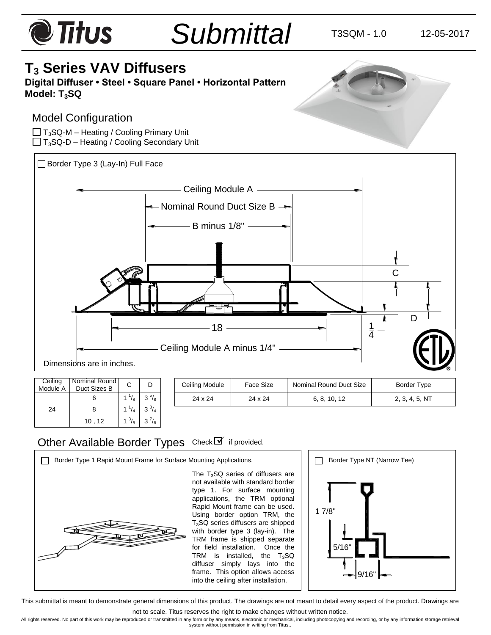# $\bullet$  Titus *Submittal* T3SQM - 1.0 12-05-2017 **T<sup>3</sup> Series VAV Diffusers Digital Diffuser • Steel • Square Panel • Horizontal Pattern Model: T3SQ** Model Configuration  $\Box$  T<sub>3</sub>SQ-M – Heating / Cooling Primary Unit  $\Box$  T<sub>3</sub>SQ-D – Heating / Cooling Secondary Unit Border Type 3 (Lay-In) Full Face



| Ceiling  | Nominal Round |              |              |  |
|----------|---------------|--------------|--------------|--|
| Module A | Duct Sizes B  |              |              |  |
|          |               | $1^{1}/_{8}$ | $3^{5}/_{8}$ |  |
| 24       |               | $1^{1}/_{4}$ | $3^{3}/_{4}$ |  |
|          | 10, 12        |              | $3'/_8$      |  |

| Ceiling Module | Face Size | Nominal Round Duct Size | Border Type    |
|----------------|-----------|-------------------------|----------------|
| 24 x 24        | 24 x 24   | 6, 8, 10, 12            | 2, 3, 4, 5, NT |

# Other Available Border Types Check I if provided.

Border Type 1 Rapid Mount Frame for Surface Mounting Applications. **Border Type NT (Narrow Tee)** The  $T_3$ SQ series of diffusers are not available with standard border type 1. For surface mounting applications, the TRM optional Rapid Mount frame can be used. Using border option TRM, the T3SQ series diffusers are shipped with border type 3 (lay-in). The TRM frame is shipped separate for field installation. Once the TRM is installed, the  $T_3$ SQ diffuser simply lays into the frame. This option allows access into the ceiling after installation. 1 7/8" 5/16" 9/16"

This submittal is meant to demonstrate general dimensions of this product. The drawings are not meant to detail every aspect of the product. Drawings are

not to scale. Titus reserves the right to make changes without written notice.

All rights reserved. No part of this work may be reproduced or transmitted in any form or by any means, electronic or mechanical, including photocopying and recording, or by any information storage retrieval<br>system without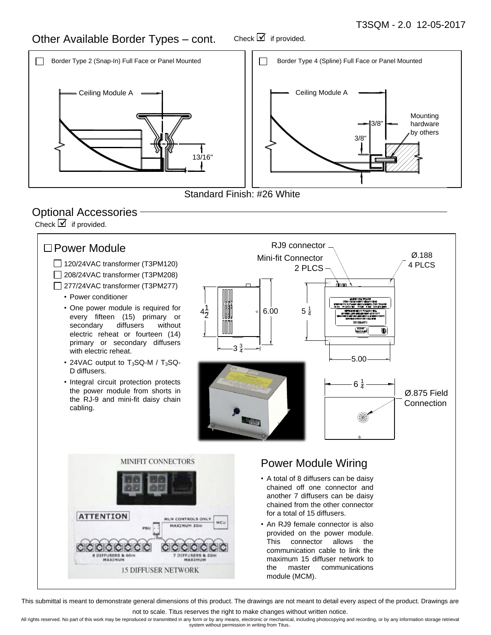#### Other Available Border Types – cont. Check  $\overline{\mathbf{y}}$  if provided.





# Optional Accessories

Check  $\overline{\mathcal{I}}$  if provided.



This submittal is meant to demonstrate general dimensions of this product. The drawings are not meant to detail every aspect of the product. Drawings are

not to scale. Titus reserves the right to make changes without written notice.

All rights reserved. No part of this work may be reproduced or transmitted in any form or by any means, electronic or mechanical, including photocopying and recording, or by any information storage retrieval<br>system without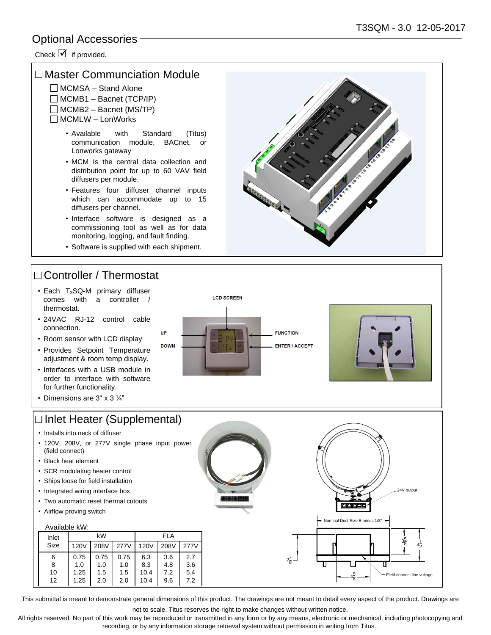### Optional Accessories

Check  $\triangledown$  if provided.

#### □ Master Communciation Module

- $\Box$  MCMSA Stand Alone
- $\Box$  MCMB1 Bacnet (TCP/IP)
- $\Box$  MCMB2 Bacnet (MS/TP)
- □ MCMLW LonWorks
	- Available with Standard (Titus) communication module, BACnet, or Lonworks gateway
	- MCM Is the central data collection and distribution point for up to 60 VAV field diffusers per module.
	- Features four diffuser channel inputs which can accommodate up to 15 diffusers per channel.
	- Interface software is designed as a commissioning tool as well as for data monitoring, logging, and fault finding.
	- Software is supplied with each shipment.

UP

**DOWN** 

# □ Controller / Thermostat

- $\cdot$  Each T<sub>3</sub>SQ-M primary diffuser comes with a controller / thermostat.
- 24VAC RJ-12 control cable connection.
- Room sensor with LCD display
- Provides Setpoint Temperature adjustment & room temp display.
- Interfaces with a USB module in order to interface with software for further functionality.
- Dimensions are 3" x 3 ¼"

# □ Inlet Heater (Supplemental)

- Installs into neck of diffuser
- 120V, 208V, or 277V single phase input power (field connect)
- Black heat element
- SCR modulating heater control
- Ships loose for field installation
- Integrated wiring interface box
- Two automatic reset thermal cutouts
- Airflow proving switch

| Available kW: |      |      |      |             |      |      |
|---------------|------|------|------|-------------|------|------|
| Inlet         | kW   |      | FI A |             |      |      |
| Size          | 120V | 208V | 277V | <b>120V</b> | 208V | 277V |
| 6             | 0.75 | 0.75 | 0.75 | 6.3         | 3.6  | 2.7  |
| 8             | 1.0  | 1.0  | 1.0  | 8.3         | 4.8  | 3.6  |
| 10            | 1.25 | 1.5  | 1.5  | 10.4        | 7.2  | 5.4  |
| 12            | 1.25 | 2.0  | 2.0  | 10.4        | 9.6  | 7.2  |

This submittal is meant to demonstrate general dimensions of this product. The drawings are not meant to detail every aspect of the product. Drawings are

not to scale. Titus reserves the right to make changes without written notice.

All rights reserved. No part of this work may be reproduced or transmitted in any form or by any means, electronic or mechanical, including photocopying and recording, or by any information storage retrieval system without permission in writing from Titus..

 $2\frac{7}{5}$ 7 8





Nominal Duct Size B minus 1/8"

mmmmm

 $4\frac{1}{6}$ 5 8  $4<sub>7</sub>$ 1 2

3, 5 8

Т

24V outpu

Field connect line voltage